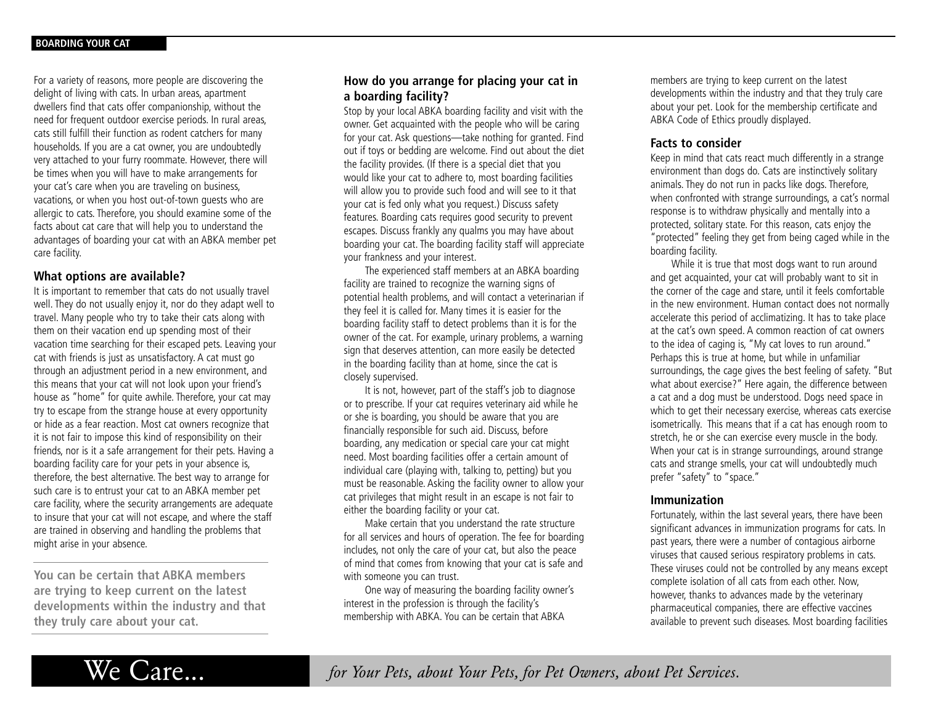For a variety of reasons, more people are discovering the delight of living with cats. In urban areas, apartment dwellers find that cats offer companionship, without the need for frequent outdoor exercise periods. In rural areas, cats still fulfill their function as rodent catchers for many households. If you are a cat owner, you are undoubtedly very attached to your furry roommate. However, there will be times when you will have to make arrangements for your cat's care when you are traveling on business, vacations, or when you host out-of-town guests who are allergic to cats. Therefore, you should examine some of the facts about cat care that will help you to understand the advantages of boarding your cat with an ABKA member pet care facility.

## **What options are available?**

It is important to remember that cats do not usually travel well. They do not usually enjoy it, nor do they adapt well to travel. Many people who try to take their cats along with them on their vacation end up spending most of their vacation time searching for their escaped pets. Leaving your cat with friends is just as unsatisfactory. A cat must go through an adjustment period in a new environment, and this means that your cat will not look upon your friend's house as "home" for quite awhile. Therefore, your cat may try to escape from the strange house at every opportunity or hide as a fear reaction. Most cat owners recognize that it is not fair to impose this kind of responsibility on their friends, nor is it a safe arrangement for their pets. Having a boarding facility care for your pets in your absence is, therefore, the best alternative. The best way to arrange for such care is to entrust your cat to an ABKA member pet care facility, where the security arrangements are adequate to insure that your cat will not escape, and where the staff are trained in observing and handling the problems that might arise in your absence.

**You can be certain that ABKA members are trying to keep current on the latest developments within the industry and that they truly care about your cat.**

# **How do you arrange for placing your cat in a boarding facility?**

Stop by your local ABKA boarding facility and visit with the owner. Get acquainted with the people who will be caring for your cat. Ask questions—take nothing for granted. Find out if toys or bedding are welcome. Find out about the diet the facility provides. (If there is a special diet that you would like your cat to adhere to, most boarding facilities will allow you to provide such food and will see to it that your cat is fed only what you request.) Discuss safety features. Boarding cats requires good security to prevent escapes. Discuss frankly any qualms you may have about boarding your cat. The boarding facility staff will appreciate your frankness and your interest.

The experienced staff members at an ABKA boarding facility are trained to recognize the warning signs of potential health problems, and will contact a veterinarian if they feel it is called for. Many times it is easier for the boarding facility staff to detect problems than it is for the owner of the cat. For example, urinary problems, a warning sign that deserves attention, can more easily be detected in the boarding facility than at home, since the cat is closely supervised.

It is not, however, part of the staff's job to diagnose or to prescribe. If your cat requires veterinary aid while he or she is boarding, you should be aware that you are financially responsible for such aid. Discuss, before boarding, any medication or special care your cat might need. Most boarding facilities offer a certain amount of individual care (playing with, talking to, petting) but you must be reasonable. Asking the facility owner to allow your cat privileges that might result in an escape is not fair to either the boarding facility or your cat.

Make certain that you understand the rate structure for all services and hours of operation. The fee for boarding includes, not only the care of your cat, but also the peace of mind that comes from knowing that your cat is safe and with someone you can trust.

One way of measuring the boarding facility owner's interest in the profession is through the facility's membership with ABKA. You can be certain that ABKA

members are trying to keep current on the latest developments within the industry and that they truly care about your pet. Look for the membership certificate and ABKA Code of Ethics proudly displayed.

# **Facts to consider**

Keep in mind that cats react much differently in a strange environment than dogs do. Cats are instinctively solitary animals. They do not run in packs like dogs. Therefore, when confronted with strange surroundings, a cat's normal response is to withdraw physically and mentally into a protected, solitary state. For this reason, cats enjoy the "protected" feeling they get from being caged while in the boarding facility.

While it is true that most dogs want to run around and get acquainted, your cat will probably want to sit in the corner of the cage and stare, until it feels comfortable in the new environment. Human contact does not normally accelerate this period of acclimatizing. It has to take place at the cat's own speed. A common reaction of cat owners to the idea of caging is, "My cat loves to run around." Perhaps this is true at home, but while in unfamiliar surroundings, the cage gives the best feeling of safety. "But what about exercise?" Here again, the difference between a cat and a dog must be understood. Dogs need space in which to get their necessary exercise, whereas cats exercise isometrically. This means that if a cat has enough room to stretch, he or she can exercise every muscle in the body. When your cat is in strange surroundings, around strange cats and strange smells, your cat will undoubtedly much prefer "safety" to "space."

#### **Immunization**

Fortunately, within the last several years, there have been significant advances in immunization programs for cats. In past years, there were a number of contagious airborne viruses that caused serious respiratory problems in cats. These viruses could not be controlled by any means except complete isolation of all cats from each other. Now, however, thanks to advances made by the veterinary pharmaceutical companies, there are effective vaccines available to prevent such diseases. Most boarding facilities

We Care... *for Your Pets, about Your Pets, for Pet Owners, about Pet Services.*